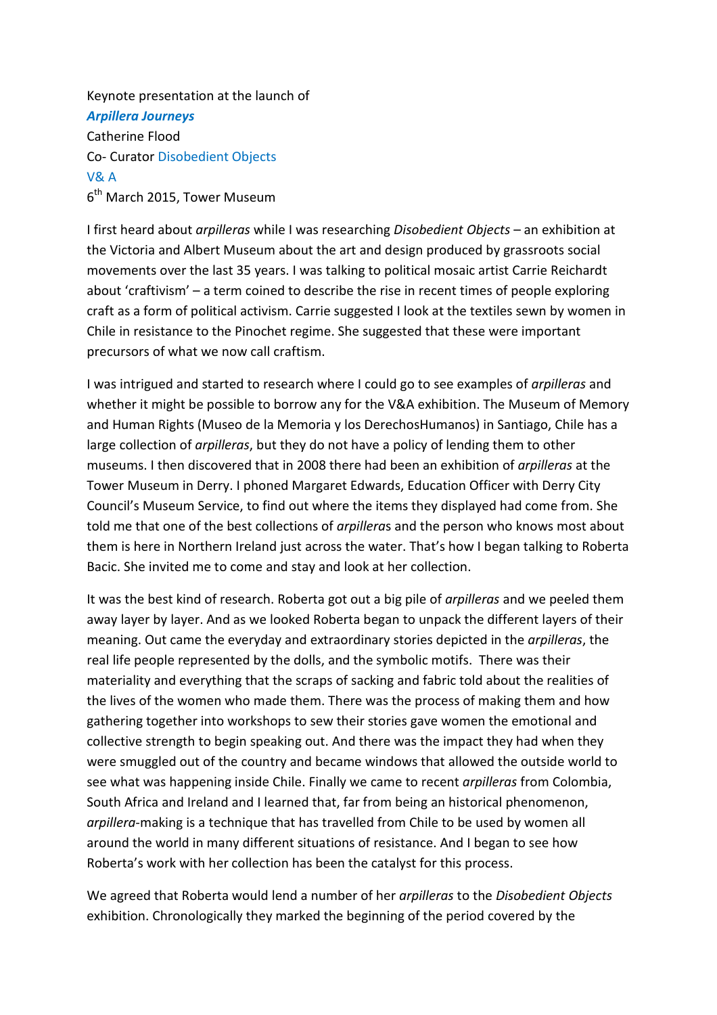Keynote presentation at the launch of *Arpillera Journeys*  Catherine Flood Co- Curator Disobedient Objects V& A 6<sup>th</sup> March 2015, Tower Museum

I first heard about *arpilleras* while I was researching *Disobedient Objects* – an exhibition at the Victoria and Albert Museum about the art and design produced by grassroots social movements over the last 35 years. I was talking to political mosaic artist Carrie Reichardt about 'craftivism' – a term coined to describe the rise in recent times of people exploring craft as a form of political activism. Carrie suggested I look at the textiles sewn by women in Chile in resistance to the Pinochet regime. She suggested that these were important precursors of what we now call craftism.

I was intrigued and started to research where I could go to see examples of *arpilleras* and whether it might be possible to borrow any for the V&A exhibition. The Museum of Memory and Human Rights (Museo de la Memoria y los DerechosHumanos) in Santiago, Chile has a large collection of *arpilleras*, but they do not have a policy of lending them to other museums. I then discovered that in 2008 there had been an exhibition of *arpilleras* at the Tower Museum in Derry. I phoned Margaret Edwards, Education Officer with Derry City Council's Museum Service, to find out where the items they displayed had come from. She told me that one of the best collections of *arpillera*s and the person who knows most about them is here in Northern Ireland just across the water. That's how I began talking to Roberta Bacic. She invited me to come and stay and look at her collection.

It was the best kind of research. Roberta got out a big pile of *arpilleras* and we peeled them away layer by layer. And as we looked Roberta began to unpack the different layers of their meaning. Out came the everyday and extraordinary stories depicted in the *arpilleras*, the real life people represented by the dolls, and the symbolic motifs. There was their materiality and everything that the scraps of sacking and fabric told about the realities of the lives of the women who made them. There was the process of making them and how gathering together into workshops to sew their stories gave women the emotional and collective strength to begin speaking out. And there was the impact they had when they were smuggled out of the country and became windows that allowed the outside world to see what was happening inside Chile. Finally we came to recent *arpilleras* from Colombia, South Africa and Ireland and I learned that, far from being an historical phenomenon, *arpillera-*making is a technique that has travelled from Chile to be used by women all around the world in many different situations of resistance. And I began to see how Roberta's work with her collection has been the catalyst for this process.

We agreed that Roberta would lend a number of her *arpilleras* to the *Disobedient Objects* exhibition. Chronologically they marked the beginning of the period covered by the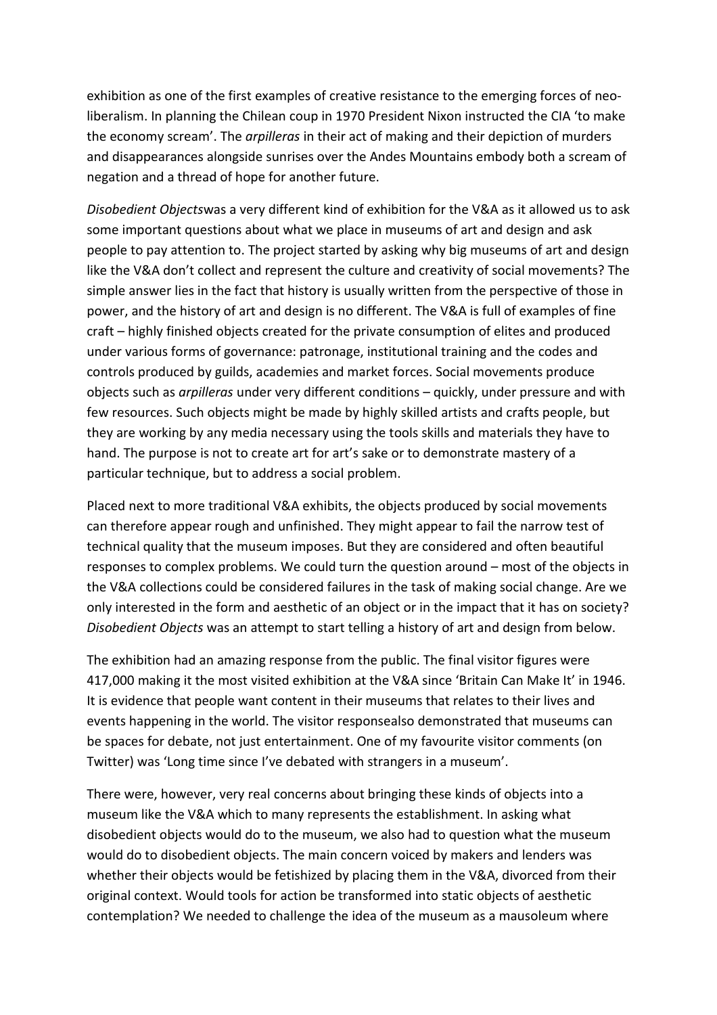exhibition as one of the first examples of creative resistance to the emerging forces of neoliberalism. In planning the Chilean coup in 1970 President Nixon instructed the CIA 'to make the economy scream'. The *arpilleras* in their act of making and their depiction of murders and disappearances alongside sunrises over the Andes Mountains embody both a scream of negation and a thread of hope for another future.

*Disobedient Objects*was a very different kind of exhibition for the V&A as it allowed us to ask some important questions about what we place in museums of art and design and ask people to pay attention to. The project started by asking why big museums of art and design like the V&A don't collect and represent the culture and creativity of social movements? The simple answer lies in the fact that history is usually written from the perspective of those in power, and the history of art and design is no different. The V&A is full of examples of fine craft – highly finished objects created for the private consumption of elites and produced under various forms of governance: patronage, institutional training and the codes and controls produced by guilds, academies and market forces. Social movements produce objects such as *arpilleras* under very different conditions – quickly, under pressure and with few resources. Such objects might be made by highly skilled artists and crafts people, but they are working by any media necessary using the tools skills and materials they have to hand. The purpose is not to create art for art's sake or to demonstrate mastery of a particular technique, but to address a social problem.

Placed next to more traditional V&A exhibits, the objects produced by social movements can therefore appear rough and unfinished. They might appear to fail the narrow test of technical quality that the museum imposes. But they are considered and often beautiful responses to complex problems. We could turn the question around – most of the objects in the V&A collections could be considered failures in the task of making social change. Are we only interested in the form and aesthetic of an object or in the impact that it has on society? *Disobedient Objects* was an attempt to start telling a history of art and design from below.

The exhibition had an amazing response from the public. The final visitor figures were 417,000 making it the most visited exhibition at the V&A since 'Britain Can Make It' in 1946. It is evidence that people want content in their museums that relates to their lives and events happening in the world. The visitor responsealso demonstrated that museums can be spaces for debate, not just entertainment. One of my favourite visitor comments (on Twitter) was 'Long time since I've debated with strangers in a museum'.

There were, however, very real concerns about bringing these kinds of objects into a museum like the V&A which to many represents the establishment. In asking what disobedient objects would do to the museum, we also had to question what the museum would do to disobedient objects. The main concern voiced by makers and lenders was whether their objects would be fetishized by placing them in the V&A, divorced from their original context. Would tools for action be transformed into static objects of aesthetic contemplation? We needed to challenge the idea of the museum as a mausoleum where